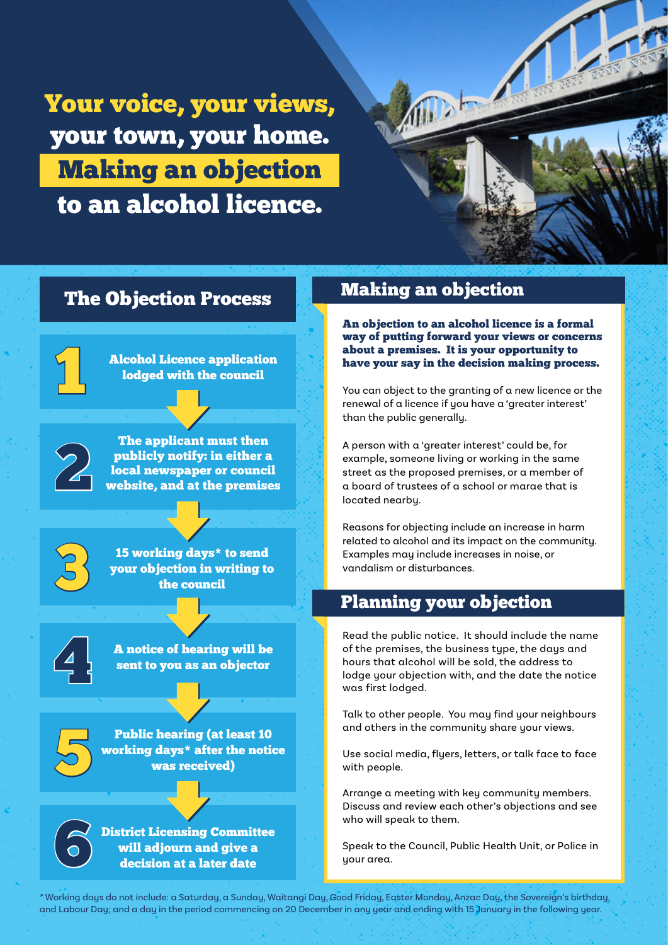Your voice, your views, your town, your home. Making an objection to an alcohol licence.



## The Objection Process

**Alcohol Licence application** lodged with the council

The applicant must then<br>publicly notify: in either a<br>local newspaper or counci<br>website, and at the premise publicly notify: in either a local newspaper or council website, and at the premises

<sup>15</sup> working days\* to send<br>your objection in writing to<br>the council your objection in writing to the council





Public hearing (at least 10<br>working days\* after the notic<br>was received) working days\* after the notice was received)

> 6 District Licensing Committee will adjourn and give a decision at a later date

# Making an objection

An objection to an alcohol licence is a formal way of putting forward your views or concerns about a premises. It is your opportunity to have your say in the decision making process.

You can object to the granting of a new licence or the renewal of a licence if you have a 'greater interest' than the public generally.

A person with a 'greater interest' could be, for example, someone living or working in the same street as the proposed premises, or a member of a board of trustees of a school or marae that is located nearby.

Reasons for objecting include an increase in harm related to alcohol and its impact on the community. Examples may include increases in noise, or vandalism or disturbances.

### Planning your objection

Read the public notice. It should include the name of the premises, the business type, the days and hours that alcohol will be sold, the address to lodge your objection with, and the date the notice was first lodged.

Talk to other people. You may find your neighbours and others in the community share your views.

Use social media, flyers, letters, or talk face to face with people.

Arrange a meeting with key community members. Discuss and review each other's objections and see who will speak to them.

Speak to the Council, Public Health Unit, or Police in your area.

\* Working days do not include: a Saturday, a Sunday, Waitangi Day, Good Friday, Easter Monday, Anzac Day, the Sovereign's birthday, and Labour Day; and a day in the period commencing on 20 December in any year and ending with 15 January in the following year.